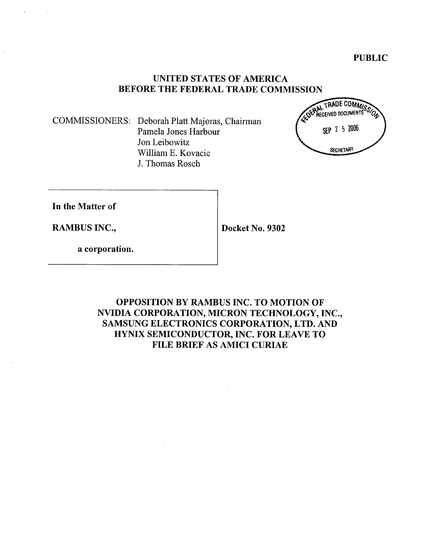## UNITED STATES OF AMERICA BEFORE THE FEDERAL TRADE COMMISSION

COMMISSIONERS: Deborah Platt Majoras, Chairman Pamela Jones Harbour Jon Leibowitz Willam E. Kovacic J. Thomas Rosch



In the Matter of

RAMBUS INC., Docket No. 9302

a corporation.

OPPOSITION BY RAMBUS INC. TO MOTION OF NVIDIA CORPORATION, MICRON TECHNOLOGY, INC. SAMSUNG ELECTRONICS CORPORATION, LTD. AND HYNIX SEMICONDUCTOR, INC. FOR LEAVE TO FILE BRIEF AS AMICI CURIAE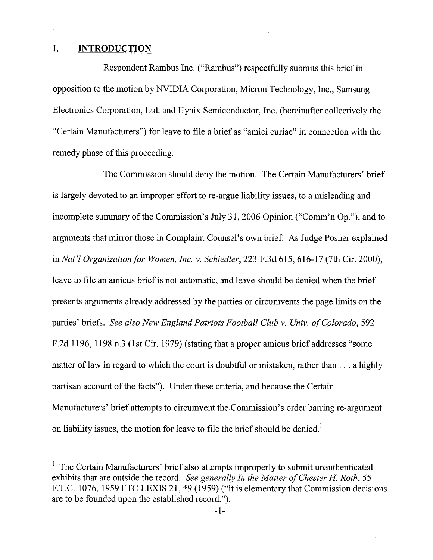#### I. **INTRODUCTION**

Respondent Rambus Inc. ("Rambus") respectfully submits this brief in opposition to the motion by NVIDIA Corporation, Micron Technology, Inc., Samsung Electronics Corporation, Ltd. and Hynix Semiconductor, Inc. (hereinafter collectively the "Certain Manufacturers") for leave to file a brief as "amici curiae" in connection with the remedy phase of this proceeding.

The Commission should deny the motion. The Certain Manufacturers ' brief is largely devoted to an improper effort to re-argue liabilty issues, to a misleading and incomplete summary of the Commission's July 31, 2006 Opinion ("Comm'n Op."), and to arguments that mirror those in Complaint Counsel's own brief. As Judge Posner explained in Nat'l Organization for Women, Inc. v. Schiedler, 223 F.3d 615, 616-17 (7th Cir. 2000), leave to file an amicus brief is not automatic, and leave should be denied when the brief presents arguments already addressed by the parties or circumvents the page limits on the parties' briefs. See also New England Patriots Football Club v. Univ. of Colorado, 592 2d 1196, 1198 n.3 (1st Cir. 1979) (stating that a proper amicus brief addresses "some matter of law in regard to which the court is doubtful or mistaken, rather than  $\dots$  a highly partisan account of the facts"). Under these criteria, and because the Certain Manufacturers' brief attempts to circumvent the Commission's order barring re-argument on liability issues, the motion for leave to file the brief should be denied.

 $1$  The Certain Manufacturers' brief also attempts improperly to submit unauthenticated exhibits that are outside the record. See generally In the Matter of Chester H. Roth, 55 F.T.C. 1076, 1959 FTC LEXIS 21, \*9 (1959) ("It is elementary that Commission decisions are to be founded upon the established record.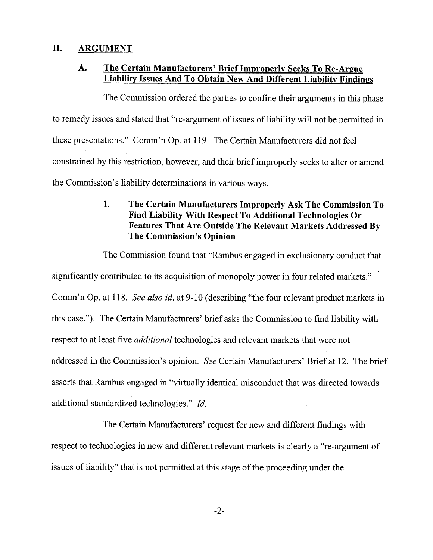# II. ARGUMENT

#### A. The Certain Manufacturers' Brief Improperly Seeks To Re-Argue Liability Issues And To Obtain New And Different Liability Findings

The Commission ordered the parties to confine their arguments in this phase to remedy issues and stated that "re-argument of issues of liability will not be permitted in these presentations." Comm'n Op. at 119. The Certain Manufacturers did not feel constrained by this restriction, however, and their brief improperly seeks to alter or amend the Commission's liability determinations in various ways.

### $\mathbf{1}$ . The Certain Manufacturers Improperly Ask The Commission To Find Liabilty With Respect To Additional Technologies Or Features That Are Outside The Relevant Markets Addressed By The Commission's Opinion

The Commission found that "Rambus engaged in exclusionary conduct that significantly contributed to its acquisition of monopoly power in four related markets." Comm'n Op. at 118. See also id. at 9-10 (describing "the four relevant product markets in this case."). The Certain Manufacturers' brief asks the Commission to find liability with respect to at least five additional technologies and relevant markets that were not addressed in the Commission's opinion. See Certain Manufacturers' Brief at 12. The brief asserts that Rambus engaged in "virtally identical misconduct that was directed towards additional standardized technologies." *Id.* 

The Certain Manufacturers' request for new and different findings with respect to technologies in new and different relevant markets is clearly a "re-argument of issues of liability" that is not permitted at this stage of the proceeding under the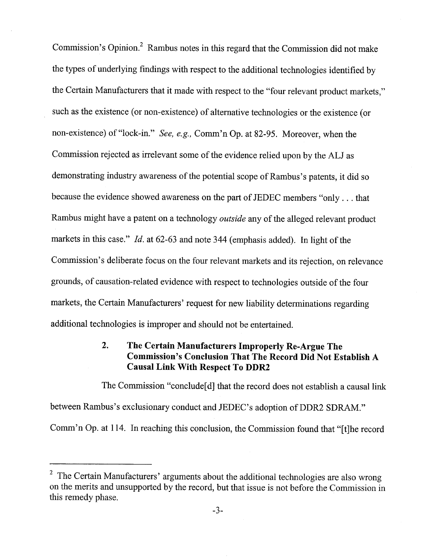Commission's Opinion.<sup>2</sup> Rambus notes in this regard that the Commission did not make the types of underlying findings with respect to the additional technologies identified by the Certain Manufacturers that it made with respect to the "four relevant product markets such as the existence (or non-existence) of alternative technologies or the existence (or non-existence) of "lock-in." See, e.g., Comm'n Op. at 82-95. Moreover, when the Commission rejected as irrelevant some of the evidence relied upon by the ALJ as demonstrating industry awareness of the potential scope of Rambus's patents, it did so because the evidence showed awareness on the part of JEDEC members "only. . . that Rambus might have a patent on a technology outside any of the alleged relevant product markets in this case."  $Id$ . at 62-63 and note 344 (emphasis added). In light of the Commission's deliberate focus on the four relevant markets and its rejection, on relevance grounds, of causation-related evidence with respect to technologies outside of the four markets, the Certain Manufacturers' request for new liability determinations regarding additional technologies is improper and should not be entertained.

#### $2.$ The Certain Manufacturers Improperly Re-Argue The Commission's Conclusion That The Record Did Not Establish A Causal Link With Respect To DDR2

The Commission "conclude [d] that the record does not establish a causal link between Rambus's exclusionary conduct and JEDEC's adoption of DDR2 SDRAM." Comm'n Op. at 114. In reaching this conclusion, the Commission found that "[t]he record

 $2$  The Certain Manufacturers' arguments about the additional technologies are also wrong on the merits and unsupported by the record, but that issue is not before the Commission in this remedy phase.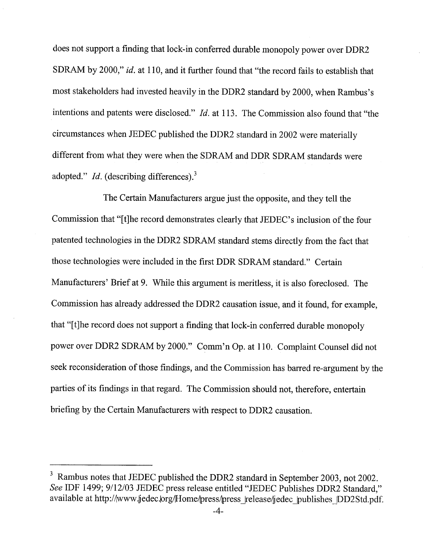does not support a finding that lock-in conferred durable monopoly power over DDR2 SDRAM by 2000," id. at 110, and it further found that "the record fails to establish that most stakeholders had invested heavily in the DDR2 standard by 2000, when Rambus intentions and patents were disclosed."  $Id$ . at 113. The Commission also found that "the circumstances when JEDEC published the DDR2 standard in 2002 were materially different from what they were when the SDRAM and DDR SDRAM standards were adopted." *Id.* (describing differences).<sup>3</sup>

The Certain Manufacturers argue just the opposite, and they tell the Commission that "[t]he record demonstrates clearly that JEDEC's inclusion of the four patented technologies in the DDR2 SDRAM standard stems directly from the fact that those technologies were included in the first DDR SDRAM standard." Certain Manufacturers' Brief at 9. While this argument is meritless, it is also foreclosed. The Commission has already addressed the DDR2 causation issue, and it found, for example, that "[t]he record does not support a finding that lock-in conferred durable monopoly power over DDR2 SDRAM by 2000." Comm'n Op. at 110. Complaint Counsel did not seek reconsideration of those findings, and the Commission has barred re-argument by the parties of its findings in that regard. The Commission should not, therefore, entertain briefing by the Certain Manufacturers with respect to DDR2 causation.

 $3$  Rambus notes that JEDEC published the DDR2 standard in September 2003, not 2002. See IDF 1499; 9/12/03 JEDEC press release entitled "JEDEC Publishes DDR2 Standard," available at http://www.jjedec.lorg/Home/press/press release/jedec publishes DD2Std.pdf.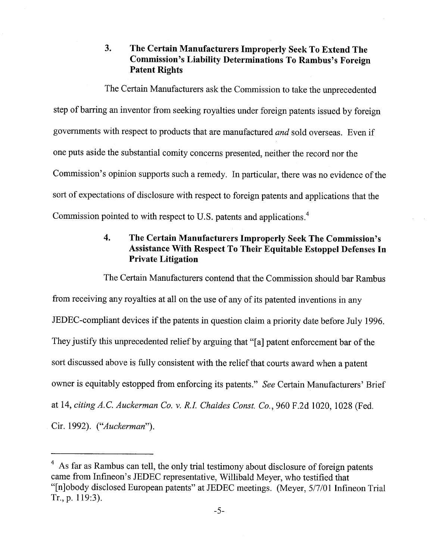#### $3.$ The Certain Manufacturers Improperly Seek To Extend The Commission's Liability Determinations To Rambus's Foreign Patent Rights

The Certain Manufacturers ask the Commission to take the unprecedented step of barring an inventor from seeking royalties under foreign patents issued by foreign governments with respect to products that are manufactured and sold overseas. Even if one puts aside the substantial comity concerns presented, neither the record nor the Commission's opinion supports such a remedy. In particular, there was no evidence of the sort of expectations of disclosure with respect to foreign patents and applications that the Commission pointed to with respect to U.S. patents and applications.<sup>4</sup>

### $\overline{4}$ . The Certain Manufacturers Improperly Seek The Commission Assistance With Respect To Their Equitable Estoppel Defenses Private Litigation

The Certain Manufacturers contend that the Commission should bar Rambus from receiving any royalties at all on the use of any of its patented inventions in any JEDEC-compliant devices if the patents in question claim a priority date before July 1996. They justify this unprecedented relief by arguing that "(aJ patent enforcement bar of the sort discussed above is fully consistent with the relief that cours award when a patent owner is equitably estopped from enforcing its patents." See Certain Manufacturers' Brief at 14, citing A.C. Auckerman Co. v. R.I. Chaides Const. Co., 960 F.2d 1020, 1028 (Fed. Cir. 1992). ("Auckerman"

<sup>&</sup>lt;sup>4</sup> As far as Rambus can tell, the only trial testimony about disclosure of foreign patents came from Infineon's JEDEC representative, Willibald Meyer, who testified that (nJobody disclosed European patents" at JEDEC meetings. (Meyer, 5/7/01 Infineon Trial Tr., p. 119:3).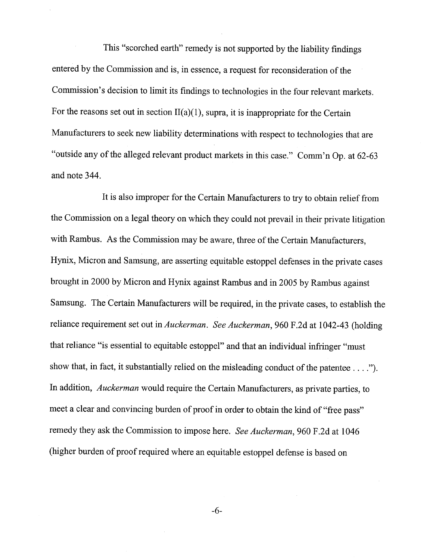This "scorched earth" remedy is not supported by the liability findings entered by the Commission and is, in essence, a request for reconsideration of the Commission's decision to limit its findings to technologies in the four relevant markets. For the reasons set out in section  $II(a)(1)$ , supra, it is inappropriate for the Certain Manufacturers to seek new liability determinations with respect to technologies that are "outside any of the alleged relevant product markets in this case." Comm'n Op. at  $62-63$ and note 344.

It is also improper for the Certain Manufacturers to try to obtain relief from the Commission on a legal theory on which they could not prevail in their private litigation with Rambus. As the Commission may be aware, three of the Certain Manufacturers, Hynix, Micron and Samsung, are asserting equitable estoppel defenses in the private cases brought in 2000 by Micron and Hynix against Rambus and in 2005 by Rambus against Samsung. The Certain Manufacturers wil be required, in the private cases, to establish the reliance requirement set out in *Auckerman. See Auckerman*, 960 F.2d at 1042-43 (holding that reliance "is essential to equitable estoppel" and that an individual infringer "must show that, in fact, it substantially relied on the misleading conduct of the patentee  $\dots$ ."). In addition, Auckerman would require the Certain Manufacturers, as private parties, to meet a clear and convincing burden of proof in order to obtain the kind of "free pass remedy they ask the Commission to impose here. See Auckerman, 960 F.2d at 1046 (higher burden of proof required where an equitable estoppel defense is based on

 $-6-$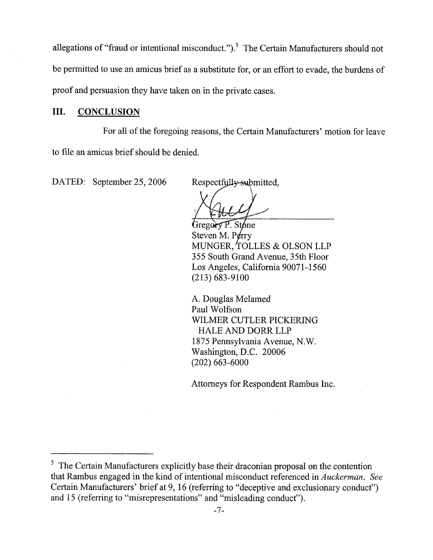allegations of "fraud or intentional misconduct.").<sup>5</sup> The Certain Manufacturers should not be permitted to use an amicus brief as a substitute for, or an effort to evade, the burdens of proof and persuasion they have taken on in the private cases.

### III. CONCLUSION

For all of the foregoing reasons, the Certain Manufacturers' motion for leave to file an amicus brief should be denied.

DATED: September 25, 2006

Respectfully submitted,

 $Gregor P.$  Stone

Steven M. P $\rlap{/}$ erry MUNGER, TOLLES & OLSON LLP 355 South Grand Avenue, 35th Floor Los Angeles, California 90071-1560 (213) 683-9100

A. Douglas Melamed Paul Wolfson WILMER CUTLER PICKERING HALE AND DORR LLP 1875 Pennsylvania Avenue, N. Washington, D.C. 20006 (202) 663-6000

Attorneys for Respondent Rambus Inc.

<sup>&</sup>lt;sup>5</sup> The Certain Manufacturers explicitly base their draconian proposal on the contention that Rambus engaged in the kind of intentional misconduct referenced in *Auckerman.* See Certain Manufacturers' brief at 9, 16 (referring to "deceptive and exclusionary conduct") and 15 (referring to "misrepresentations" and "misleading conduct").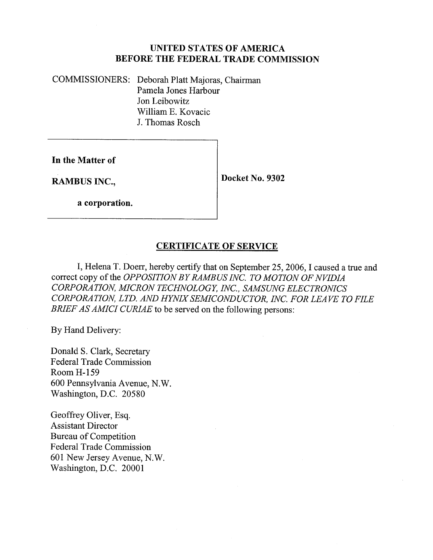# UNITED STATES OF AMERICA BEFORE THE FEDERAL TRADE COMMISSION

COMMISSIONERS: Deborah Platt Majoras, Chairman Pamela Jones Harbour Jon Leibowitz Willam E. Kovacic J. Thomas Rosch

In the Matter of

RAMBUS INC., Docket No. 9302

a corporation.

# CERTIFICATE OF SERVICE

, Helena T. Doerr, hereby certify that on September 25 2006, I caused a true and correct copy of the *OPPOSITION BY RAMBUS INC. TO MOTION OF NVIDIA* CORPORATION, MICRON TECHNOLOGY, INC., SAMSUNG ELECTRONICS CORPORATION, LTD. AND HYNIX SEMICONDUCTOR, INC. FOR LEAVE TO FILE BRIEF AS AMICI CURIAE to be served on the following persons:

By Hand Delivery:

Donald S. Clark, Secretary Federal Trade Commission Room H- 159 600 Pennsylvania Avenue, N. Washington, D.C. 20580

Geoffrey Oliver, Esq. Assistant Director Bureau of Competition Federal Trade Commission 601 New Jersey Avenue, N. Washington, D.C. 20001